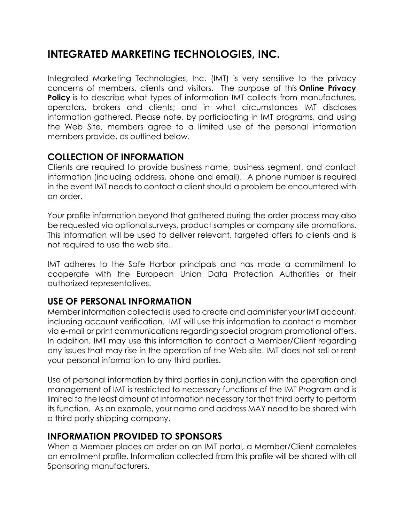# **INTEGRATED MARKETING TECHNOLOGIES, INC.**

Integrated Marketing Technologies, Inc. (IMT) is very sensitive to the privacy concerns of members, clients and visitors. The purpose of this **Online Privacy Policy** is to describe what types of information IMT collects from manufactures, operators, brokers and clients; and in what circumstances IMT discloses information gathered. Please note, by participating in IMT programs, and using the Web Site, members agree to a limited use of the personal information members provide, as outlined below.

#### **COLLECTION OF INFORMATION**

Clients are required to provide business name, business segment, and contact information (including address, phone and email). A phone number is required in the event IMT needs to contact a client should a problem be encountered with an order.

Your profile information beyond that gathered during the order process may also be requested via optional surveys, product samples or company site promotions. This information will be used to deliver relevant, targeted offers to clients and is not required to use the web site.

IMT adheres to the Safe Harbor principals and has made a commitment to cooperate with the European Union Data Protection Authorities or their authorized representatives.

### **USE OF PERSONAL INFORMATION**

Member information collected is used to create and administer your IMT account, including account verification. IMT will use this information to contact a member via e-mail or print communications regarding special program promotional offers. In addition, IMT may use this information to contact a Member/Client regarding any issues that may rise in the operation of the Web site. IMT does not sell or rent your personal information to any third parties.

Use of personal information by third parties in conjunction with the operation and management of IMT is restricted to necessary functions of the IMT Program and is limited to the least amount of information necessary for that third party to perform its function. As an example, your name and address MAY need to be shared with a third party shipping company.

#### **INFORMATION PROVIDED TO SPONSORS**

When a Member places an order on an IMT portal, a Member/Client completes an enrollment profile. Information collected from this profile will be shared with all Sponsoring manufacturers.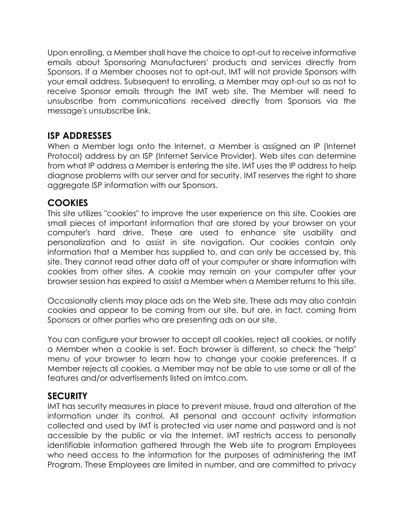Upon enrolling, a Member shall have the choice to opt-out to receive informative emails about Sponsoring Manufacturers' products and services directly from Sponsors. If a Member chooses not to opt-out, IMT will not provide Sponsors with your email address. Subsequent to enrolling, a Member may opt-out so as not to receive Sponsor emails through the IMT web site. The Member will need to unsubscribe from communications received directly from Sponsors via the message's unsubscribe link.

#### **ISP ADDRESSES**

When a Member logs onto the Internet, a Member is assigned an IP (Internet Protocol) address by an ISP (Internet Service Provider). Web sites can determine from what IP address a Member is entering the site. IMT uses the IP address to help diagnose problems with our server and for security. IMT reserves the right to share aggregate ISP information with our Sponsors.

#### **COOKIES**

This site utilizes "cookies" to improve the user experience on this site. Cookies are small pieces of important information that are stored by your browser on your computer's hard drive. These are used to enhance site usability and personalization and to assist in site navigation. Our cookies contain only information that a Member has supplied to, and can only be accessed by, this site. They cannot read other data off of your computer or share information with cookies from other sites. A cookie may remain on your computer after your browser session has expired to assist a Member when a Member returns to this site.

Occasionally clients may place ads on the Web site. These ads may also contain cookies and appear to be coming from our site, but are, in fact, coming from Sponsors or other parties who are presenting ads on our site.

You can configure your browser to accept all cookies, reject all cookies, or notify a Member when a cookie is set. Each browser is different, so check the "help" menu of your browser to learn how to change your cookie preferences. If a Member rejects all cookies, a Member may not be able to use some or all of the features and/or advertisements listed on imtco.com.

#### **SECURITY**

IMT has security measures in place to prevent misuse, fraud and alteration of the information under its control. All personal and account activity information collected and used by IMT is protected via user name and password and is not accessible by the public or via the Internet. IMT restricts access to personally identifiable information gathered through the Web site to program Employees who need access to the information for the purposes of administering the IMT Program. These Employees are limited in number, and are committed to privacy